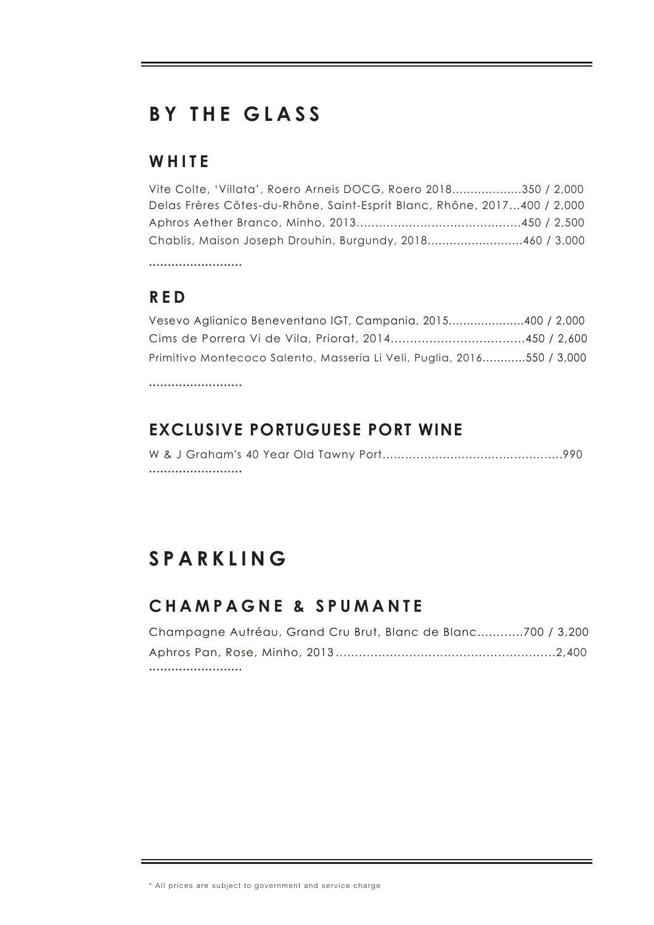# **B Y T H E GLA S S**

#### **W H I T E**

| Vite Colte, 'Villata', Roero Arneis DOCG, Roero 2018350 / 2,000         |  |
|-------------------------------------------------------------------------|--|
| Delas Frères Côtes-du-Rhône, Saint-Esprit Blanc, Rhône, 2017400 / 2,000 |  |
|                                                                         |  |
| Chablis, Maison Joseph Drouhin, Burgundy, 2018460 / 3,000               |  |
|                                                                         |  |

**R E D**

| Vesevo Aglianico Beneventano IGT, Campania, 2015400 / 2,000            |  |
|------------------------------------------------------------------------|--|
| Cims de Porrera Vi de Vila, Priorat, 2014450 / 2,600                   |  |
| Primitivo Montecoco Salento, Masseria Li Veli, Puglia, 2016550 / 3,000 |  |

•••••••••••••••••••••••••

### **EXCLUSIVE PORTUGUESE PORT WINE**

# **S P A R K LIN G**

## **CHAMPAGNE & SPUMANTE**

| Champagne Autréau, Grand Cru Brut, Blanc de Blanc700 / 3,200 |  |
|--------------------------------------------------------------|--|
|                                                              |  |
|                                                              |  |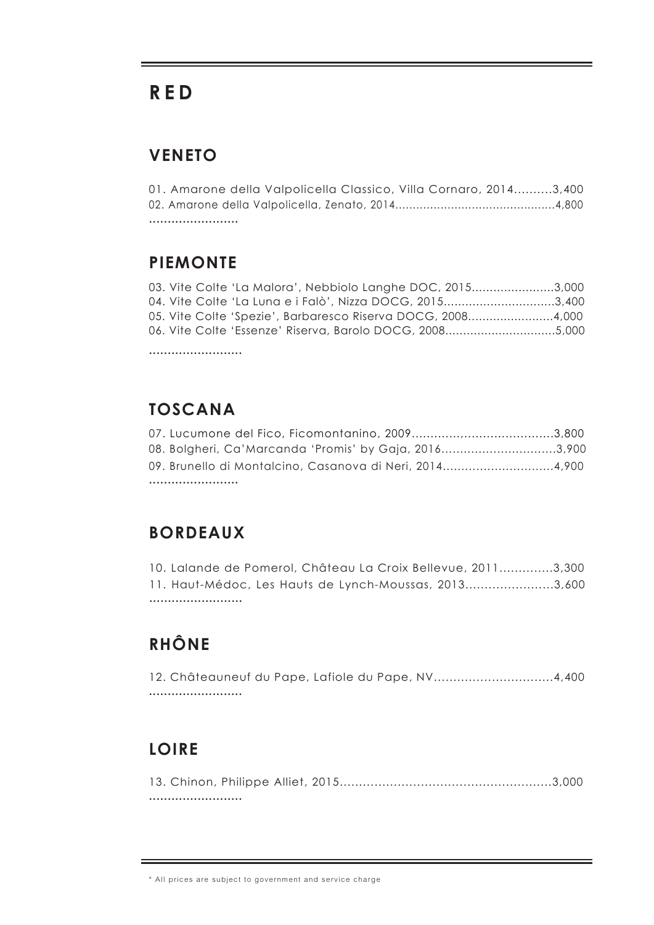## **R E D**

#### **VENETO**

01. Amarone della Valpolicella Classico, Villa Cornaro, 2014..........3,400 02. Amarone della Valpolicella, Zenato, 2014..............................................4,800 ••••••••••••••••••••••••

#### **PIEMONTE**

|  | 03. Vite Colte 'La Malora', Nebbiolo Langhe DOC, 20153,000  |  |
|--|-------------------------------------------------------------|--|
|  | 04. Vite Colte 'La Luna e i Falò', Nizza DOCG, 20153,400    |  |
|  | 05. Vite Colte 'Spezie', Barbaresco Riserva DOCG, 20084,000 |  |
|  | 06. Vite Colte 'Essenze' Riserva, Barolo DOCG, 20085,000    |  |
|  |                                                             |  |

**TOSCANA**

•••••••••••••••••••••••••

| 08. Bolgheri, Ca'Marcanda 'Promis' by Gaja, 20163,900   |  |
|---------------------------------------------------------|--|
| 09. Brunello di Montalcino, Casanova di Neri, 20144,900 |  |
|                                                         |  |

#### **BORDEAUX**

11. Haut-Médoc, Les Hauts de Lynch-Moussas, 2013.......................3,600 ••••••••••••••••••••••••• 10. Lalande de Pomerol, Château La Croix Bellevue, 2011..............3,300

## **RHÔNE**

12. Châteauneuf du Pape, Lafiole du Pape, NV...............................4,400 •••••••••••••••••••••••••

#### **LOIRE**

13. Chinon, Philippe Alliet, 2015.......................................................3,000 •••••••••••••••••••••••••

<sup>\*</sup> All prices are subject to government and service charge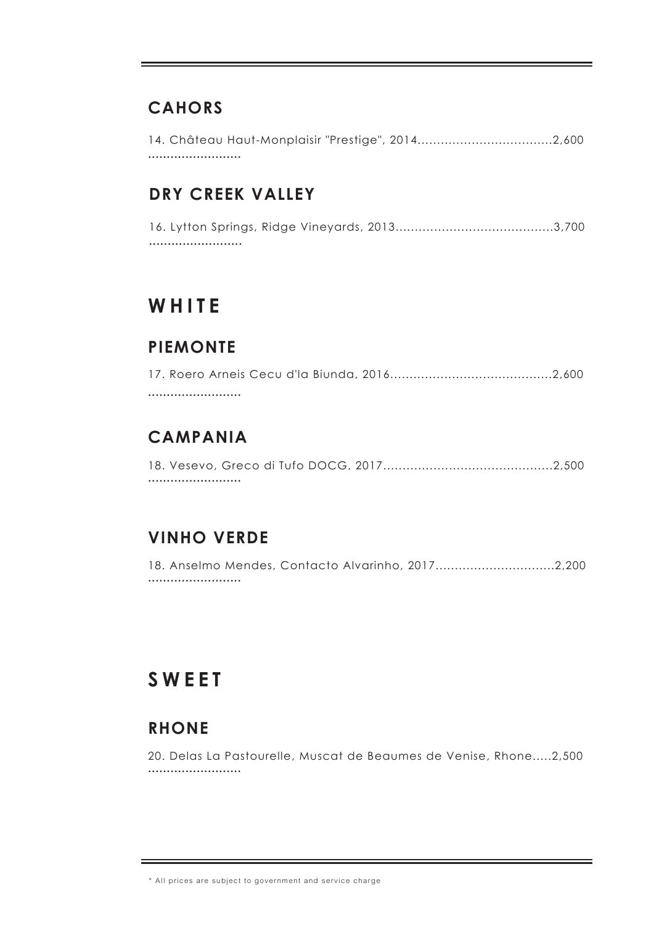#### **CAHORS**

14. Château Haut-Monplaisir "Prestige", 2014...................................2,600 •••••••••••••••••••••••••

#### **DRY CREEK VALLEY**

16. Lytton Springs, Ridge Vineyards, 2013.........................................3,700 •••••••••••••••••••••••••

## **W H I T E**

#### **PIEMONTE**

## **CAMPANIA**

18. Vesevo, Greco di Tufo DOCG, 2017............................................2,500 •••••••••••••••••••••••••

#### **VINHO VERDE**

18. Anselmo Mendes, Contacto Alvarinho, 2017...............................2,200 •••••••••••••••••••••••••

# **SWEET**

#### **RHONE**

20. Delas La Pastourelle, Muscat de Beaumes de Venise, Rhone.....2,500 •••••••••••••••••••••••••

<sup>\*</sup> All prices are subject to government and service charge